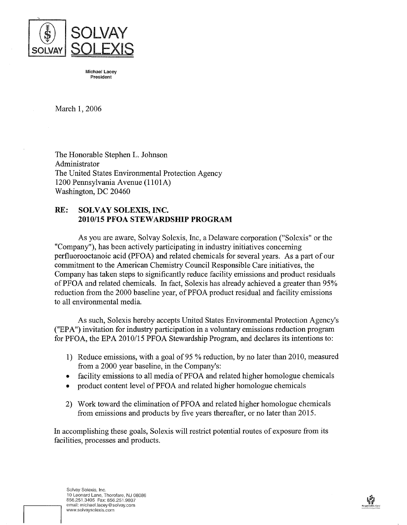

**Michael Lacey President**

March 1, 2006

The Honorable Stephen L. Johnson Administrator The United States Environmental Protection Agency 1200 PennsylvaniaAvenue (1lOlA) Washington, DC 20460

## **RE: SOLVAY SOLEXIS, INC. 2010/15 PFOA STEWARDSHIP PROGRAM**

As you are aware, Solvay Solexis, mc, aDelaware corporation ("Solexis" or the "Company"), has been actively participating in industry initiatives concerning perfluorooctanoic acid (PFOA) and related chemicals for several years. As a part of our commitment to the American Chemistry Council Responsible Care initiatives, the Company has taken steps to significantly reduce facility emissions and product residuals of PFOA and related chemicals. In fact, Solexis has already achieved a greater than 95% reduction from the 2000 baseline year, of PFOA product residual and facility emissions to all environmental media.

As such, Solexis hereby accepts United States Environmental Protection Agency's ("EPA") invitation for industry participation in a voluntary emissions reduction program for PFOA, the EPA 2010/15 PFOA Stewardship Program, and declares its intentions to:

- 1) Reduce emissions, with a goal of95 % reduction, by no later than 2010, measured from a 2000 year baseline, in the Company's:
- facility emissions to all media of PFOA and related higher homologue chemicals
- product content level of PFOA and related higher homologue chemicals
- 2) Work toward the elimination of PFOA and related higher homologue chemicals from emissions and products by five years thereafter, or no later than 2015.

In accomplishing these goals, Solexis will restrict potential routes of exposure from its facilities, processes and products.